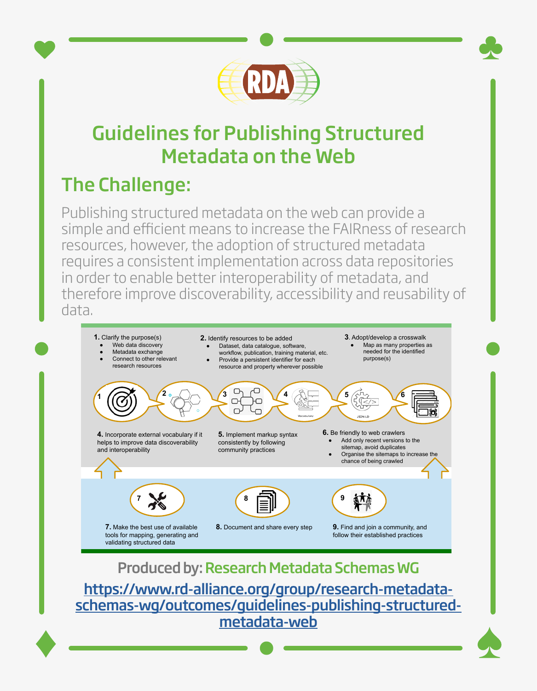

## Guidelines for Publishing Structured Metadata on the Web

## The Challenge:

Publishing structured metadata on the web can provide a simple and efficient means to increase the FAIRness of research resources, however, the adoption of structured metadata requires a consistent implementation across data repositories in order to enable better interoperability of metadata, and therefore improve discoverability, accessibility and reusability of **Nine recommendations for publishing structured metadata on the web** data.